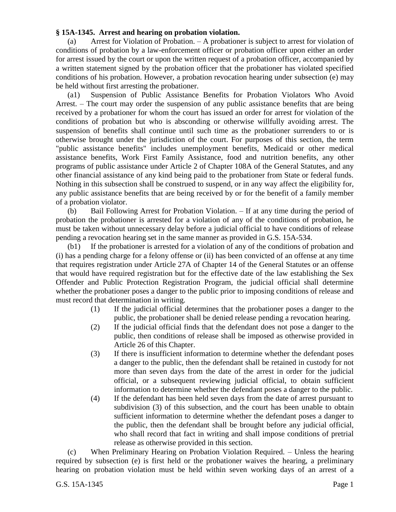## **§ 15A-1345. Arrest and hearing on probation violation.**

(a) Arrest for Violation of Probation. – A probationer is subject to arrest for violation of conditions of probation by a law-enforcement officer or probation officer upon either an order for arrest issued by the court or upon the written request of a probation officer, accompanied by a written statement signed by the probation officer that the probationer has violated specified conditions of his probation. However, a probation revocation hearing under subsection (e) may be held without first arresting the probationer.

(a1) Suspension of Public Assistance Benefits for Probation Violators Who Avoid Arrest. – The court may order the suspension of any public assistance benefits that are being received by a probationer for whom the court has issued an order for arrest for violation of the conditions of probation but who is absconding or otherwise willfully avoiding arrest. The suspension of benefits shall continue until such time as the probationer surrenders to or is otherwise brought under the jurisdiction of the court. For purposes of this section, the term "public assistance benefits" includes unemployment benefits, Medicaid or other medical assistance benefits, Work First Family Assistance, food and nutrition benefits, any other programs of public assistance under Article 2 of Chapter 108A of the General Statutes, and any other financial assistance of any kind being paid to the probationer from State or federal funds. Nothing in this subsection shall be construed to suspend, or in any way affect the eligibility for, any public assistance benefits that are being received by or for the benefit of a family member of a probation violator.

(b) Bail Following Arrest for Probation Violation. – If at any time during the period of probation the probationer is arrested for a violation of any of the conditions of probation, he must be taken without unnecessary delay before a judicial official to have conditions of release pending a revocation hearing set in the same manner as provided in G.S. 15A-534.

(b1) If the probationer is arrested for a violation of any of the conditions of probation and (i) has a pending charge for a felony offense or (ii) has been convicted of an offense at any time that requires registration under Article 27A of Chapter 14 of the General Statutes or an offense that would have required registration but for the effective date of the law establishing the Sex Offender and Public Protection Registration Program, the judicial official shall determine whether the probationer poses a danger to the public prior to imposing conditions of release and must record that determination in writing.

- (1) If the judicial official determines that the probationer poses a danger to the public, the probationer shall be denied release pending a revocation hearing.
- (2) If the judicial official finds that the defendant does not pose a danger to the public, then conditions of release shall be imposed as otherwise provided in Article 26 of this Chapter.
- (3) If there is insufficient information to determine whether the defendant poses a danger to the public, then the defendant shall be retained in custody for not more than seven days from the date of the arrest in order for the judicial official, or a subsequent reviewing judicial official, to obtain sufficient information to determine whether the defendant poses a danger to the public.
- (4) If the defendant has been held seven days from the date of arrest pursuant to subdivision (3) of this subsection, and the court has been unable to obtain sufficient information to determine whether the defendant poses a danger to the public, then the defendant shall be brought before any judicial official, who shall record that fact in writing and shall impose conditions of pretrial release as otherwise provided in this section.

(c) When Preliminary Hearing on Probation Violation Required. – Unless the hearing required by subsection (e) is first held or the probationer waives the hearing, a preliminary hearing on probation violation must be held within seven working days of an arrest of a